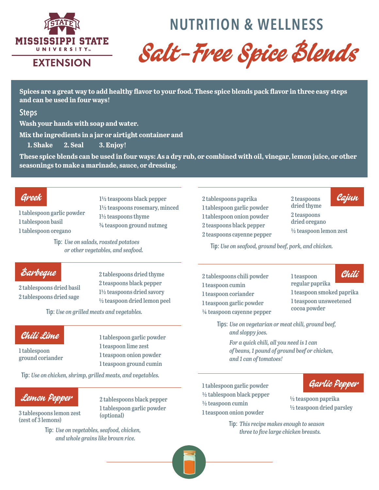

# **NUTRITION & WELLNESS**

Salt-Free Spice Blends

**Spices are a great way to add healthy flavor to your food. These spice blends pack flavor in three easy steps and can be used in four ways!** 

#### **Steps**

**Wash your hands with soap and water.** 

**Mix the ingredients in a jar or airtight container and** 

**1. Shake 2. Seal 3. Enjoy!** 

**These spice blends can be used in four ways: As a dry rub, or combined with oil, vinegar, lemon juice, or other seasonings to make a marinade, sauce, or dressing.**

### Greek

1 tablespoon garlic powder 1 tablespoon basil 1 tablespoon oregano

1½ teaspoons black pepper 1½ teaspoons rosemary, minced 1½ teaspoons thyme ¾ teaspoon ground nutmeg

**Tip:** *Use on salads, roasted potatoes or other vegetables, and seafood.*

# Barbeque

2 tablespoons dried basil 2 tablespoons dried sage

2 tablespoons dried thyme 2 teaspoons black pepper 1½ teaspoons dried savory ½ teaspoon dried lemon peel

**Tip:** *Use on grilled meats and vegetables.*

### Chili Lime

1 tablespoon ground coriander

1 tablespoon garlic powder 1 teaspoon lime zest 1 teaspoon onion powder 1 teaspoon ground cumin

2 tablespoons black pepper 1 tablespoon garlic powder

**Tip:** *Use on chicken, shrimp, grilled meats, and vegetables.*

# Lemon Pepper

3 tablespoons lemon zest (zest of 3 lemons)

> **Tip:** *Use on vegetables, seafood, chicken, and whole grains like brown rice.*

(optional)

2 tablespoons paprika 1 tablespoon garlic powder 1 tablespoon onion powder 2 teaspoons black pepper 2 teaspoons cayenne pepper 2 teaspoons dried thyme 2 teaspoons dried oregano ½ teaspoon lemon zest Cajun

**Tip:** *Use on seafood, ground beef, pork, and chicken.*

2 tablespoons chili powder 1 teaspoon cumin 1 teaspoon coriander 1 teaspoon garlic powder ¼ teaspoon cayenne pepper

1 teaspoon regular paprika

1 teaspoon smoked paprika 1 teaspoon unsweetened cocoa powder

**Tips:** *Use on vegetarian or meat chili, ground beef, and sloppy joes.*

*For a quick chili, all you need is 1 can of beans, 1 pound of ground beef or chicken, and 1 can of tomatoes!*

1 tablespoon garlic powder ½ tablespoon black pepper  $\frac{1}{2}$  teaspoon cumin 1 teaspoon onion powder



½ teaspoon paprika ½ teaspoon dried parsley

**Tip:** *This recipe makes enough to season three to five large chicken breasts.*



Chili